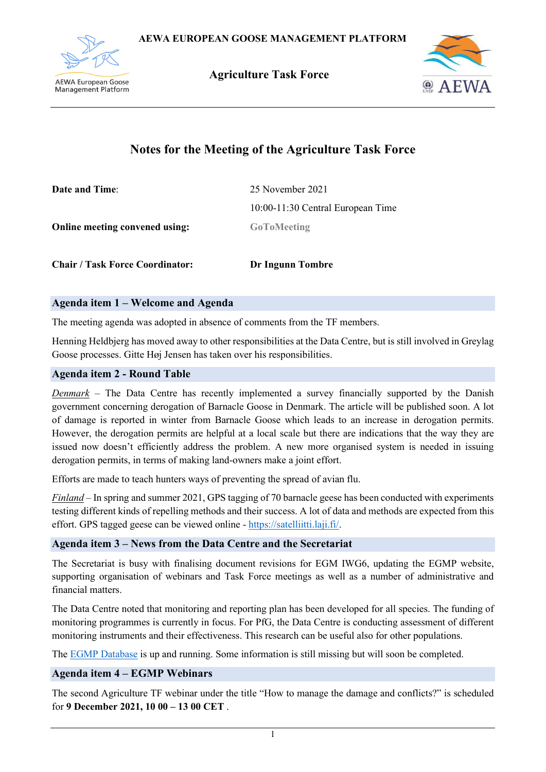

 **Agriculture Task Force**



# **Notes for the Meeting of the Agriculture Task Force**

| <b>Date and Time:</b>          | 25 November 2021                  |
|--------------------------------|-----------------------------------|
|                                | 10:00-11:30 Central European Time |
| Online meeting convened using: | <b>GoToMeeting</b>                |
|                                |                                   |

**Agenda item 1 – Welcome and Agenda**

The meeting agenda was adopted in absence of comments from the TF members.

**Chair / Task Force Coordinator: Dr Ingunn Tombre**

Henning Heldbjerg has moved away to other responsibilities at the Data Centre, but is still involved in Greylag Goose processes. Gitte Høj Jensen has taken over his responsibilities.

## **Agenda item 2 - Round Table**

*Denmark –* The Data Centre has recently implemented a survey financially supported by the Danish government concerning derogation of Barnacle Goose in Denmark. The article will be published soon. A lot of damage is reported in winter from Barnacle Goose which leads to an increase in derogation permits. However, the derogation permits are helpful at a local scale but there are indications that the way they are issued now doesn't efficiently address the problem. A new more organised system is needed in issuing derogation permits, in terms of making land-owners make a joint effort.

Efforts are made to teach hunters ways of preventing the spread of avian flu.

*Finland* – In spring and summer 2021, GPS tagging of 70 barnacle geese has been conducted with experiments testing different kinds of repelling methods and their success. A lot of data and methods are expected from this effort. GPS tagged geese can be viewed online - [https://satelliitti.laji.fi/.](https://satelliitti.laji.fi/)

## **Agenda item 3 – News from the Data Centre and the Secretariat**

The Secretariat is busy with finalising document revisions for EGM IWG6, updating the EGMP website, supporting organisation of webinars and Task Force meetings as well as a number of administrative and financial matters.

The Data Centre noted that monitoring and reporting plan has been developed for all species. The funding of monitoring programmes is currently in focus. For PfG, the Data Centre is conducting assessment of different monitoring instruments and their effectiveness. This research can be useful also for other populations.

The EGMP [Database](https://calm-dune-07f6d4603.azurestaticapps.net/) is up and running. Some information is still missing but will soon be completed.

## **Agenda item 4 – EGMP Webinars**

The second Agriculture TF webinar under the title "How to manage the damage and conflicts?" is scheduled for **9 December 2021, 10 00 – 13 00 CET** .